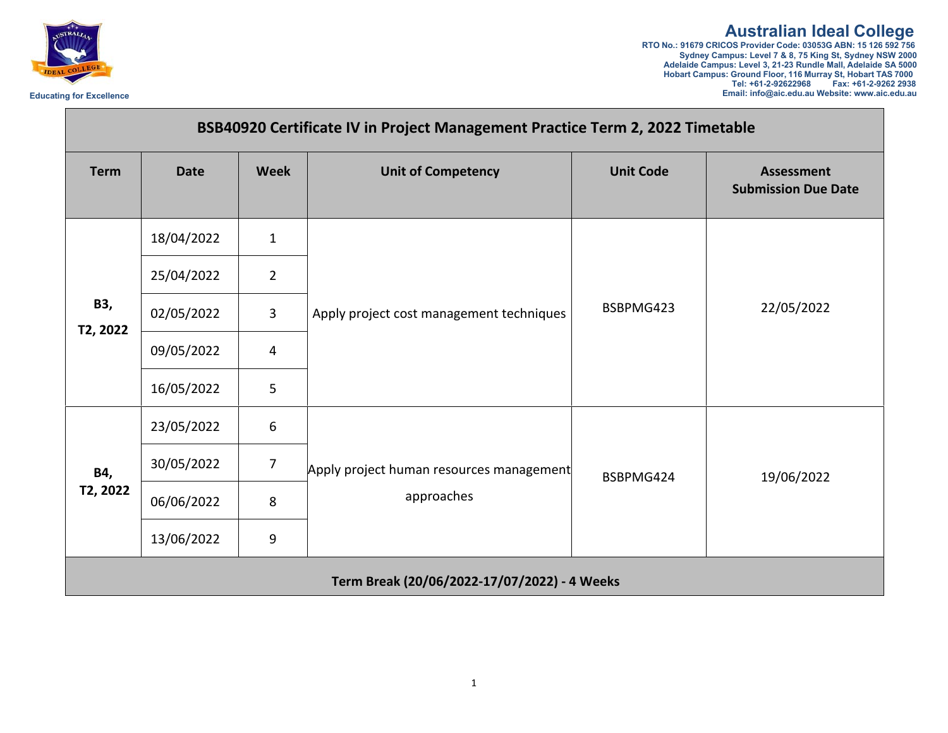

## **Australian Ideal College**<br>RTO No.: 91679 CRICOS Provider Code: 03053G ABN: 15 126 592 756<br>Sydney Campus: Level 7 & 8, 75 King St, Sydney NSW 2000<br>Adelaide Campus: Level 3, 21-23 Rundle Mall, Adelaide SA 5000

**Hobart Campus: Ground Floor, 116 Murray St, Hobart TAS 7000 Tel: +61-2-92622968 Fax: +61-2-9262 2938 Educating for Excellence Email: info@aic.edu.au Website: www.aic.edu.au**

| BSB40920 Certificate IV in Project Management Practice Term 2, 2022 Timetable |             |                |                                                        |                  |                                                 |  |  |  |
|-------------------------------------------------------------------------------|-------------|----------------|--------------------------------------------------------|------------------|-------------------------------------------------|--|--|--|
| <b>Term</b>                                                                   | <b>Date</b> | <b>Week</b>    | <b>Unit of Competency</b>                              | <b>Unit Code</b> | <b>Assessment</b><br><b>Submission Due Date</b> |  |  |  |
| B3,<br>T2, 2022                                                               | 18/04/2022  | $\mathbf{1}$   | Apply project cost management techniques               | BSBPMG423        | 22/05/2022                                      |  |  |  |
|                                                                               | 25/04/2022  | $\overline{2}$ |                                                        |                  |                                                 |  |  |  |
|                                                                               | 02/05/2022  | $\overline{3}$ |                                                        |                  |                                                 |  |  |  |
|                                                                               | 09/05/2022  | $\overline{4}$ |                                                        |                  |                                                 |  |  |  |
|                                                                               | 16/05/2022  | 5              |                                                        |                  |                                                 |  |  |  |
| <b>B4,</b><br>T2, 2022                                                        | 23/05/2022  | 6              | Apply project human resources management<br>approaches | BSBPMG424        | 19/06/2022                                      |  |  |  |
|                                                                               | 30/05/2022  | $\overline{7}$ |                                                        |                  |                                                 |  |  |  |
|                                                                               | 06/06/2022  | 8              |                                                        |                  |                                                 |  |  |  |
|                                                                               | 13/06/2022  | 9              |                                                        |                  |                                                 |  |  |  |
| Term Break (20/06/2022-17/07/2022) - 4 Weeks                                  |             |                |                                                        |                  |                                                 |  |  |  |